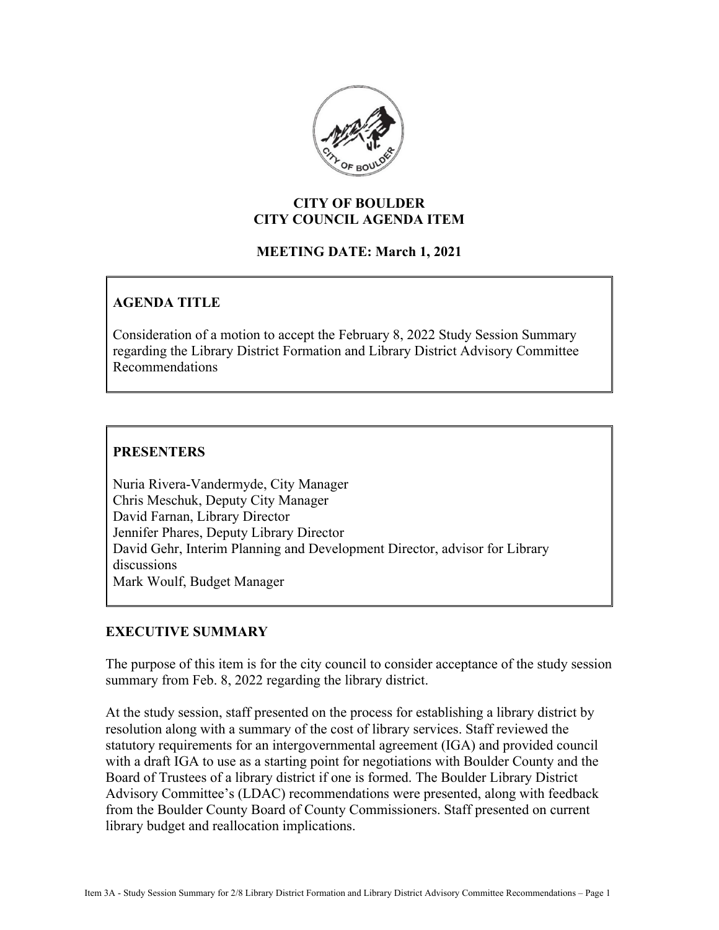

# **CITY OF BOULDER CITY COUNCIL AGENDA ITEM**

# **MEETING DATE: March 1, 2021**

# **AGENDA TITLE**

Consideration of a motion to accept the February 8, 2022 Study Session Summary regarding the Library District Formation and Library District Advisory Committee Recommendations

# **PRESENTERS**

Nuria Rivera-Vandermyde, City Manager Chris Meschuk, Deputy City Manager David Farnan, Library Director Jennifer Phares, Deputy Library Director David Gehr, Interim Planning and Development Director, advisor for Library discussions Mark Woulf, Budget Manager

# **EXECUTIVE SUMMARY**

The purpose of this item is for the city council to consider acceptance of the study session summary from Feb. 8, 2022 regarding the library district.

At the study session, staff presented on the process for establishing a library district by resolution along with a summary of the cost of library services. Staff reviewed the statutory requirements for an intergovernmental agreement (IGA) and provided council with a draft IGA to use as a starting point for negotiations with Boulder County and the Board of Trustees of a library district if one is formed. The Boulder Library District Advisory Committee's (LDAC) recommendations were presented, along with feedback from the Boulder County Board of County Commissioners. Staff presented on current library budget and reallocation implications.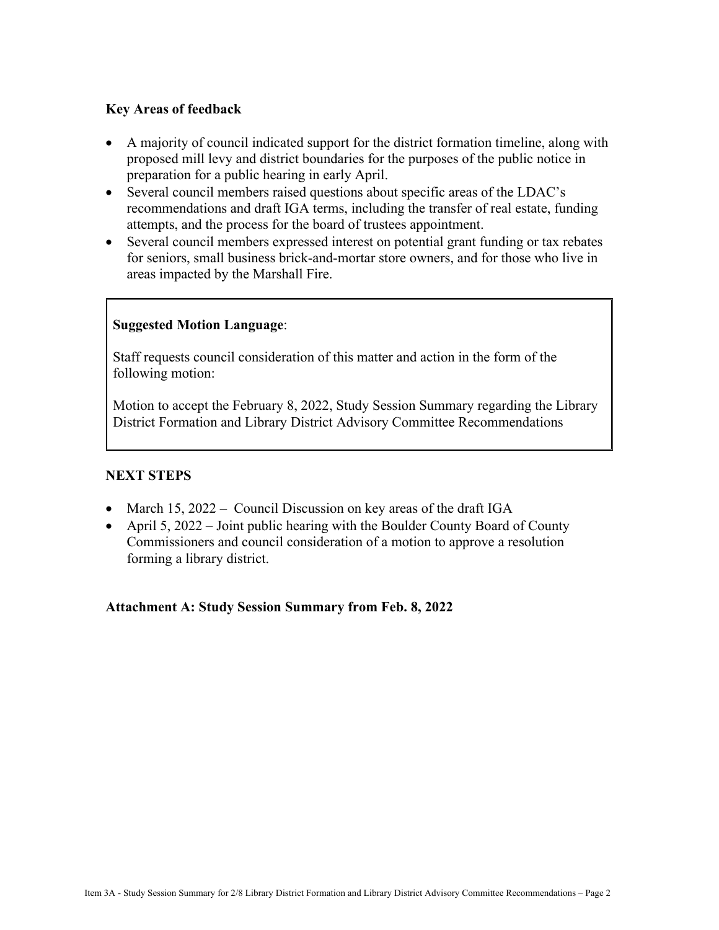### **Key Areas of feedback**

- A majority of council indicated support for the district formation timeline, along with proposed mill levy and district boundaries for the purposes of the public notice in preparation for a public hearing in early April.
- Several council members raised questions about specific areas of the LDAC's recommendations and draft IGA terms, including the transfer of real estate, funding attempts, and the process for the board of trustees appointment.
- Several council members expressed interest on potential grant funding or tax rebates for seniors, small business brick-and-mortar store owners, and for those who live in areas impacted by the Marshall Fire.

# **Suggested Motion Language**:

Staff requests council consideration of this matter and action in the form of the following motion:

Motion to accept the February 8, 2022, Study Session Summary regarding the Library District Formation and Library District Advisory Committee Recommendations

# **NEXT STEPS**

- March 15, 2022 Council Discussion on key areas of the draft IGA
- April 5, 2022 Joint public hearing with the Boulder County Board of County Commissioners and council consideration of a motion to approve a resolution forming a library district.

#### **Attachment A: Study Session Summary from Feb. 8, 2022**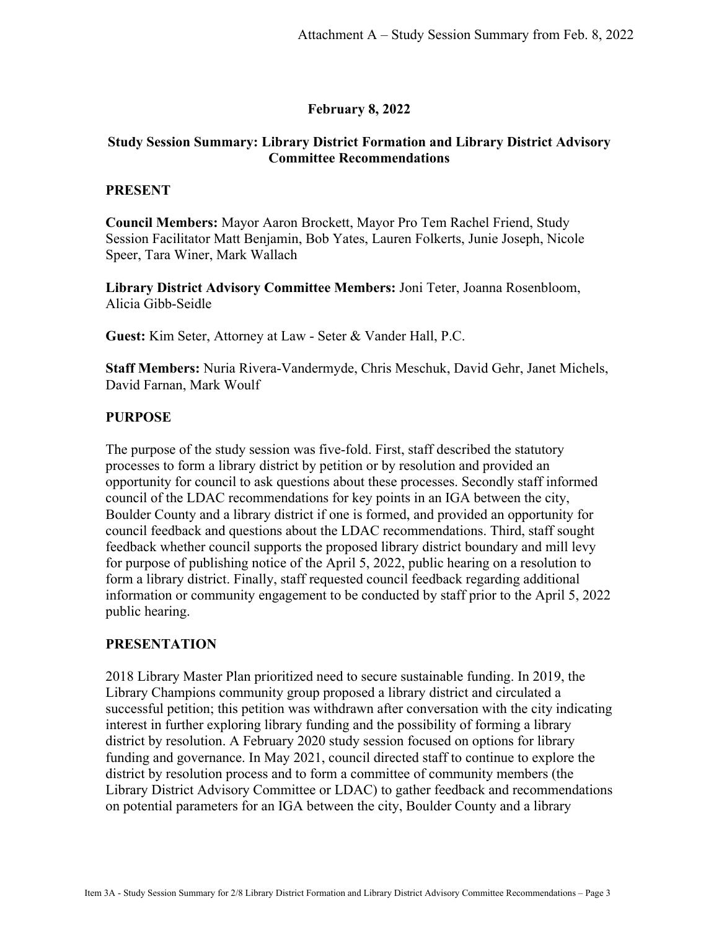### **February 8, 2022**

### **Study Session Summary: Library District Formation and Library District Advisory Committee Recommendations**

#### **PRESENT**

**Council Members:** Mayor Aaron Brockett, Mayor Pro Tem Rachel Friend, Study Session Facilitator Matt Benjamin, Bob Yates, Lauren Folkerts, Junie Joseph, Nicole Speer, Tara Winer, Mark Wallach

**Library District Advisory Committee Members:** Joni Teter, Joanna Rosenbloom, Alicia Gibb-Seidle

**Guest:** Kim Seter, Attorney at Law - Seter & Vander Hall, P.C.

**Staff Members:** Nuria Rivera-Vandermyde, Chris Meschuk, David Gehr, Janet Michels, David Farnan, Mark Woulf

#### **PURPOSE**

The purpose of the study session was five-fold. First, staff described the statutory processes to form a library district by petition or by resolution and provided an opportunity for council to ask questions about these processes. Secondly staff informed council of the LDAC recommendations for key points in an IGA between the city, Boulder County and a library district if one is formed, and provided an opportunity for council feedback and questions about the LDAC recommendations. Third, staff sought feedback whether council supports the proposed library district boundary and mill levy for purpose of publishing notice of the April 5, 2022, public hearing on a resolution to form a library district. Finally, staff requested council feedback regarding additional information or community engagement to be conducted by staff prior to the April 5, 2022 public hearing.

#### **PRESENTATION**

2018 Library Master Plan prioritized need to secure sustainable funding. In 2019, the Library Champions community group proposed a library district and circulated a successful petition; this petition was withdrawn after conversation with the city indicating interest in further exploring library funding and the possibility of forming a library district by resolution. A February 2020 study session focused on options for library funding and governance. In May 2021, council directed staff to continue to explore the district by resolution process and to form a committee of community members (the Library District Advisory Committee or LDAC) to gather feedback and recommendations on potential parameters for an IGA between the city, Boulder County and a library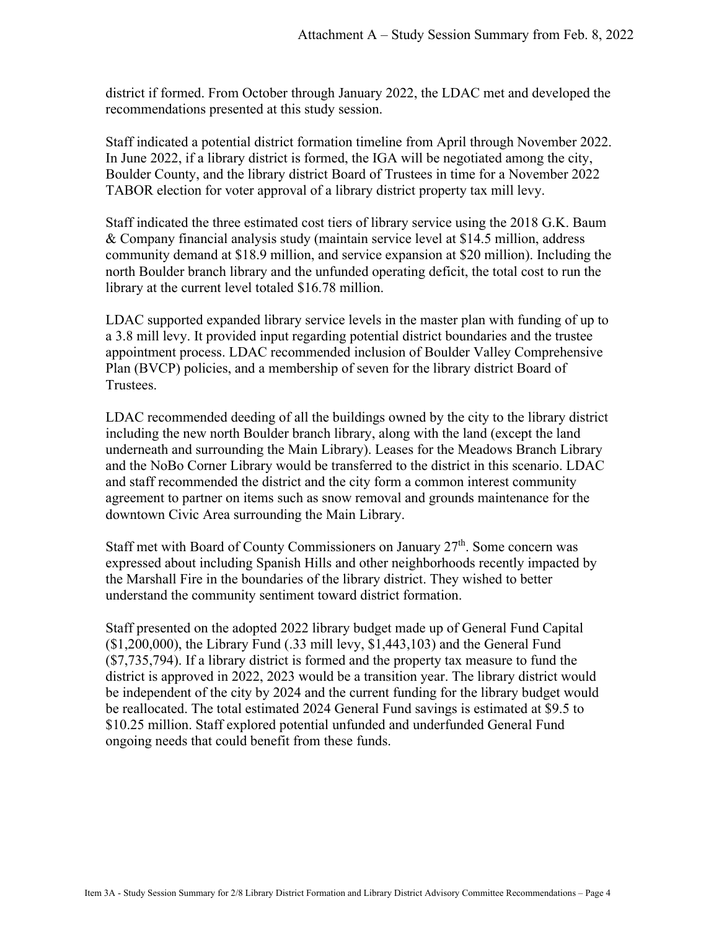district if formed. From October through January 2022, the LDAC met and developed the recommendations presented at this study session.

Staff indicated a potential district formation timeline from April through November 2022. In June 2022, if a library district is formed, the IGA will be negotiated among the city, Boulder County, and the library district Board of Trustees in time for a November 2022 TABOR election for voter approval of a library district property tax mill levy.

Staff indicated the three estimated cost tiers of library service using the 2018 G.K. Baum & Company financial analysis study (maintain service level at \$14.5 million, address community demand at \$18.9 million, and service expansion at \$20 million). Including the north Boulder branch library and the unfunded operating deficit, the total cost to run the library at the current level totaled \$16.78 million.

LDAC supported expanded library service levels in the master plan with funding of up to a 3.8 mill levy. It provided input regarding potential district boundaries and the trustee appointment process. LDAC recommended inclusion of Boulder Valley Comprehensive Plan (BVCP) policies, and a membership of seven for the library district Board of Trustees.

LDAC recommended deeding of all the buildings owned by the city to the library district including the new north Boulder branch library, along with the land (except the land underneath and surrounding the Main Library). Leases for the Meadows Branch Library and the NoBo Corner Library would be transferred to the district in this scenario. LDAC and staff recommended the district and the city form a common interest community agreement to partner on items such as snow removal and grounds maintenance for the downtown Civic Area surrounding the Main Library.

Staff met with Board of County Commissioners on January  $27<sup>th</sup>$ . Some concern was expressed about including Spanish Hills and other neighborhoods recently impacted by the Marshall Fire in the boundaries of the library district. They wished to better understand the community sentiment toward district formation.

Staff presented on the adopted 2022 library budget made up of General Fund Capital  $($1,200,000)$ , the Library Fund  $(.33 \text{ mill}$  levy,  $$1,443,103)$  and the General Fund (\$7,735,794). If a library district is formed and the property tax measure to fund the district is approved in 2022, 2023 would be a transition year. The library district would be independent of the city by 2024 and the current funding for the library budget would be reallocated. The total estimated 2024 General Fund savings is estimated at \$9.5 to \$10.25 million. Staff explored potential unfunded and underfunded General Fund ongoing needs that could benefit from these funds.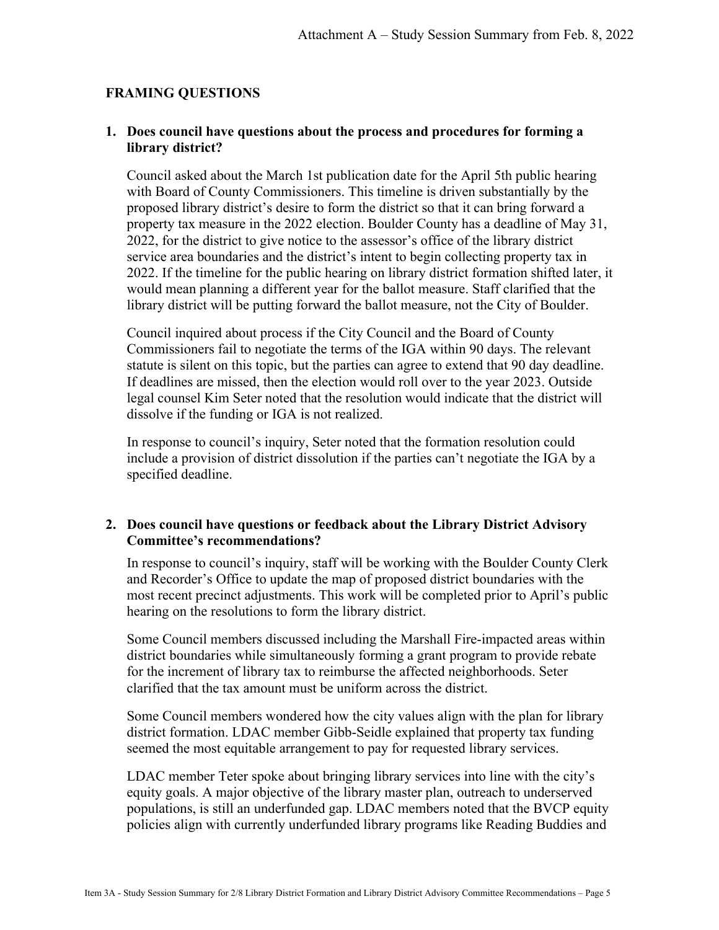### **FRAMING QUESTIONS**

### **1. Does council have questions about the process and procedures for forming a library district?**

Council asked about the March 1st publication date for the April 5th public hearing with Board of County Commissioners. This timeline is driven substantially by the proposed library district's desire to form the district so that it can bring forward a property tax measure in the 2022 election. Boulder County has a deadline of May 31, 2022, for the district to give notice to the assessor's office of the library district service area boundaries and the district's intent to begin collecting property tax in 2022. If the timeline for the public hearing on library district formation shifted later, it would mean planning a different year for the ballot measure. Staff clarified that the library district will be putting forward the ballot measure, not the City of Boulder.

Council inquired about process if the City Council and the Board of County Commissioners fail to negotiate the terms of the IGA within 90 days. The relevant statute is silent on this topic, but the parties can agree to extend that 90 day deadline. If deadlines are missed, then the election would roll over to the year 2023. Outside legal counsel Kim Seter noted that the resolution would indicate that the district will dissolve if the funding or IGA is not realized.

In response to council's inquiry, Seter noted that the formation resolution could include a provision of district dissolution if the parties can't negotiate the IGA by a specified deadline.

#### **2. Does council have questions or feedback about the Library District Advisory Committee's recommendations?**

In response to council's inquiry, staff will be working with the Boulder County Clerk and Recorder's Office to update the map of proposed district boundaries with the most recent precinct adjustments. This work will be completed prior to April's public hearing on the resolutions to form the library district.

Some Council members discussed including the Marshall Fire-impacted areas within district boundaries while simultaneously forming a grant program to provide rebate for the increment of library tax to reimburse the affected neighborhoods. Seter clarified that the tax amount must be uniform across the district.

Some Council members wondered how the city values align with the plan for library district formation. LDAC member Gibb-Seidle explained that property tax funding seemed the most equitable arrangement to pay for requested library services.

LDAC member Teter spoke about bringing library services into line with the city's equity goals. A major objective of the library master plan, outreach to underserved populations, is still an underfunded gap. LDAC members noted that the BVCP equity policies align with currently underfunded library programs like Reading Buddies and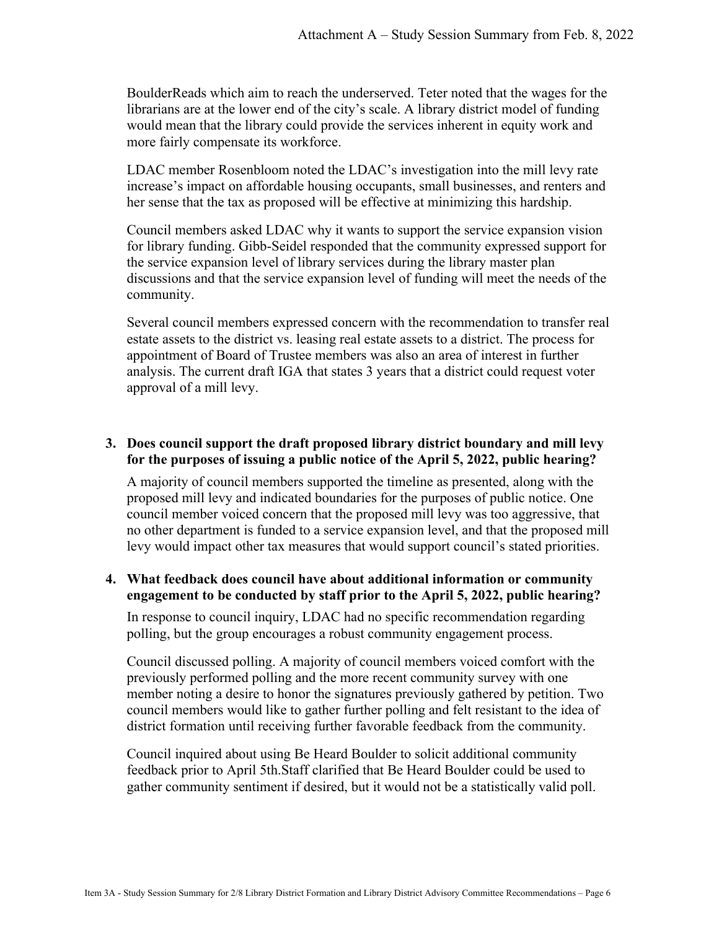BoulderReads which aim to reach the underserved. Teter noted that the wages for the librarians are at the lower end of the city's scale. A library district model of funding would mean that the library could provide the services inherent in equity work and more fairly compensate its workforce.

LDAC member Rosenbloom noted the LDAC's investigation into the mill levy rate increase's impact on affordable housing occupants, small businesses, and renters and her sense that the tax as proposed will be effective at minimizing this hardship.

Council members asked LDAC why it wants to support the service expansion vision for library funding. Gibb-Seidel responded that the community expressed support for the service expansion level of library services during the library master plan discussions and that the service expansion level of funding will meet the needs of the community.

Several council members expressed concern with the recommendation to transfer real estate assets to the district vs. leasing real estate assets to a district. The process for appointment of Board of Trustee members was also an area of interest in further analysis. The current draft IGA that states 3 years that a district could request voter approval of a mill levy.

### **3. Does council support the draft proposed library district boundary and mill levy for the purposes of issuing a public notice of the April 5, 2022, public hearing?**

A majority of council members supported the timeline as presented, along with the proposed mill levy and indicated boundaries for the purposes of public notice. One council member voiced concern that the proposed mill levy was too aggressive, that no other department is funded to a service expansion level, and that the proposed mill levy would impact other tax measures that would support council's stated priorities.

# **4. What feedback does council have about additional information or community engagement to be conducted by staff prior to the April 5, 2022, public hearing?**

In response to council inquiry, LDAC had no specific recommendation regarding polling, but the group encourages a robust community engagement process.

Council discussed polling. A majority of council members voiced comfort with the previously performed polling and the more recent community survey with one member noting a desire to honor the signatures previously gathered by petition. Two council members would like to gather further polling and felt resistant to the idea of district formation until receiving further favorable feedback from the community.

Council inquired about using Be Heard Boulder to solicit additional community feedback prior to April 5th.Staff clarified that Be Heard Boulder could be used to gather community sentiment if desired, but it would not be a statistically valid poll.